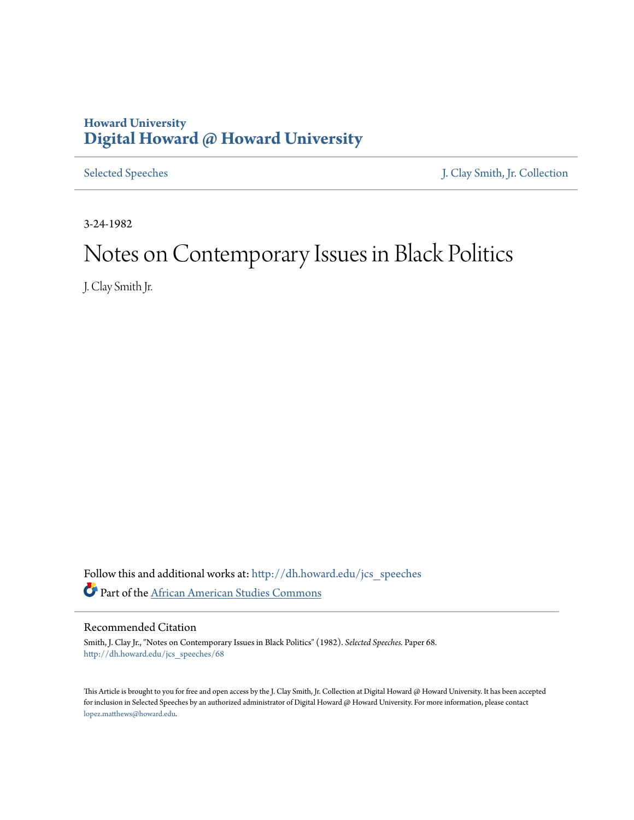## **Howard University [Digital Howard @ Howard University](http://dh.howard.edu?utm_source=dh.howard.edu%2Fjcs_speeches%2F68&utm_medium=PDF&utm_campaign=PDFCoverPages)**

[Selected Speeches](http://dh.howard.edu/jcs_speeches?utm_source=dh.howard.edu%2Fjcs_speeches%2F68&utm_medium=PDF&utm_campaign=PDFCoverPages) [J. Clay Smith, Jr. Collection](http://dh.howard.edu/jcsmith?utm_source=dh.howard.edu%2Fjcs_speeches%2F68&utm_medium=PDF&utm_campaign=PDFCoverPages)

3-24-1982

# Notes on Contemporary Issues in Black Politics

J. Clay Smith Jr.

Follow this and additional works at: [http://dh.howard.edu/jcs\\_speeches](http://dh.howard.edu/jcs_speeches?utm_source=dh.howard.edu%2Fjcs_speeches%2F68&utm_medium=PDF&utm_campaign=PDFCoverPages) Part of the [African American Studies Commons](http://network.bepress.com/hgg/discipline/567?utm_source=dh.howard.edu%2Fjcs_speeches%2F68&utm_medium=PDF&utm_campaign=PDFCoverPages)

#### Recommended Citation

Smith, J. Clay Jr., "Notes on Contemporary Issues in Black Politics" (1982). *Selected Speeches.* Paper 68. [http://dh.howard.edu/jcs\\_speeches/68](http://dh.howard.edu/jcs_speeches/68?utm_source=dh.howard.edu%2Fjcs_speeches%2F68&utm_medium=PDF&utm_campaign=PDFCoverPages)

This Article is brought to you for free and open access by the J. Clay Smith, Jr. Collection at Digital Howard @ Howard University. It has been accepted for inclusion in Selected Speeches by an authorized administrator of Digital Howard @ Howard University. For more information, please contact [lopez.matthews@howard.edu.](mailto:lopez.matthews@howard.edu)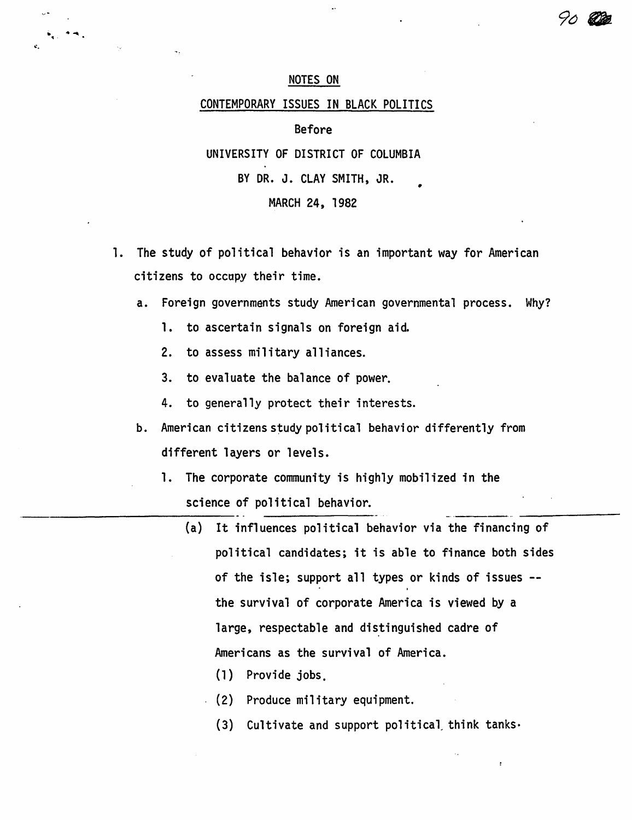#### NOTES ON

#### CONTEMPORARY ISSUES IN BLACK POLITICS

#### Before

UNIVERSITY OF DISTRICT OF COLUMBIA

BY DR. J. CLAY SMITH, JR.

•

*90.* 

MARCH 24, 1982

- 1. The study of political behavior is an important way for American citizens to occopy their time.
	- a. Foreign governments study American governmental process. Why?
		- 1. to ascertain signals on foreign aid.
		- 2. to assess military alliances.
		- 3. to evaluate the balance of power.
		- 4. to generally protect their interests.
	- b. American citizens study political behavior differently from different layers or levels.
		- 1. The corporate community is highly mobilized in the science of political behavior.
			- (a) It influences political behavior via the financing of political candidates; it is able to finance both sides of the isle; support all types or kinds of issues - the survival of corporate America is viewed by a large, respectable and distinguished cadre of Americans as the survival of America.
				- (1) Provide jobs.
				- (2) Produce military equipment.
					- (3) Cultivate and support political, think tanks·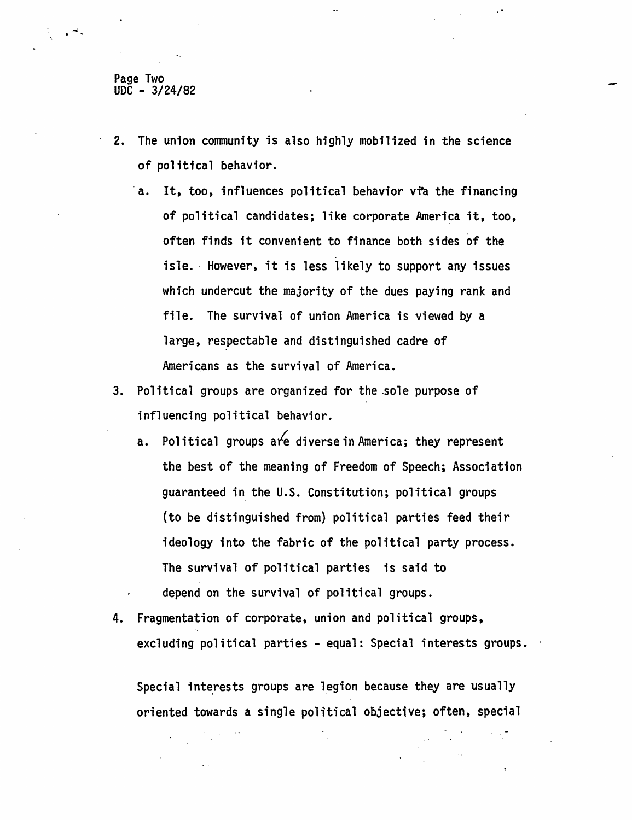Page Two UDC - 3/24/82

- . 2. The union community is also highly mobilized in the science of political behavior.
	- a. It, too, influences political behavior vfa the financing of political candidates; like corporate America it, too, often finds it convenient to finance both sides of the isle.· However, it is less likely to support any issues which undercut the majority of the dues paying rank and file. The survival of union America is viewed by a large, respectable and distinguished cadre of Americans as the survival of America.
- 3. Political groups are organized for the .sole purpose of influencing political behavior.
	- a. Political groups are diverse in America; they represent the best of the meaning of Freedom of Speech; Association guaranteed in the U.S. Constitution; political groups (to be distinguished from) political parties feed their ideology into the fabric of the political party process. The survival of political parties is said to depend on the survival of political groups.
- 4. Fragmentation of corporate, union and political groups, excluding political parties - equal: Special interests groups.

Special interests groups are legion because they are usually oriented towards a single political objective; often, special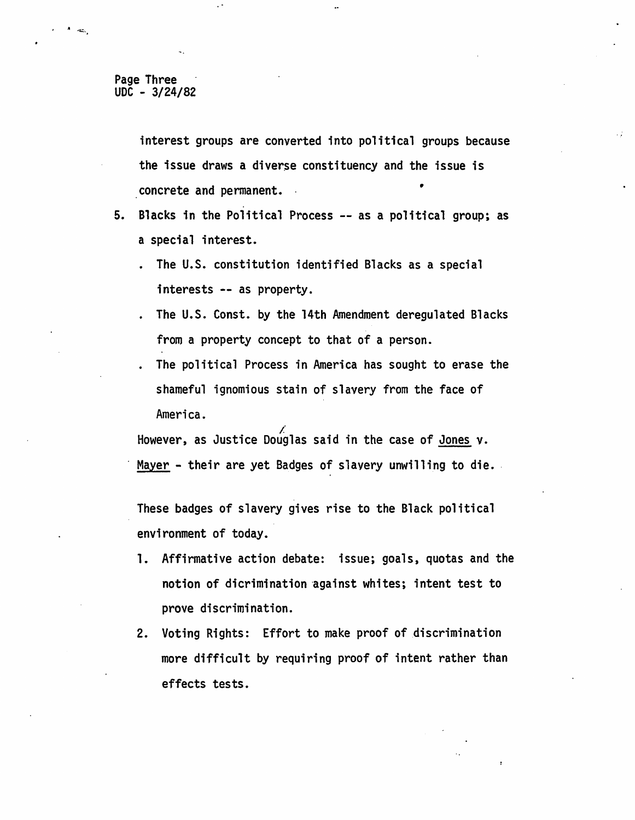$^{\prime}$   $\approx$ 

interest groups are converted into political groups because the issue draws a diverse constituency and the issue is concrete and permanent. •

- 5. Blacks in the Political Process -- as a political group; as a special interest.
	- The U.S. constitution identified Blacks as a special interests -- as property.
	- The U.S. Const. by the 14th Amendment deregulated Blacks from a property concept to that of a person.
	- The political Process in America has sought to erase the shameful ignomious stain of slavery from the face of America.

l However, as Justice Douglas said in the case of Jones v. Mayer - their are yet Badges of slavery unwilling to die.

These badges of slavery gives rise to the Black political environment of today.

- 1. Affirmative action debate: issue; goals, quotas and the notion of dicrimination against whites; intent test to prove discrimination.
- 2. Voting Rights: Effort to make proof of discrimination more difficult by requiring proof of intent rather than effects tests.